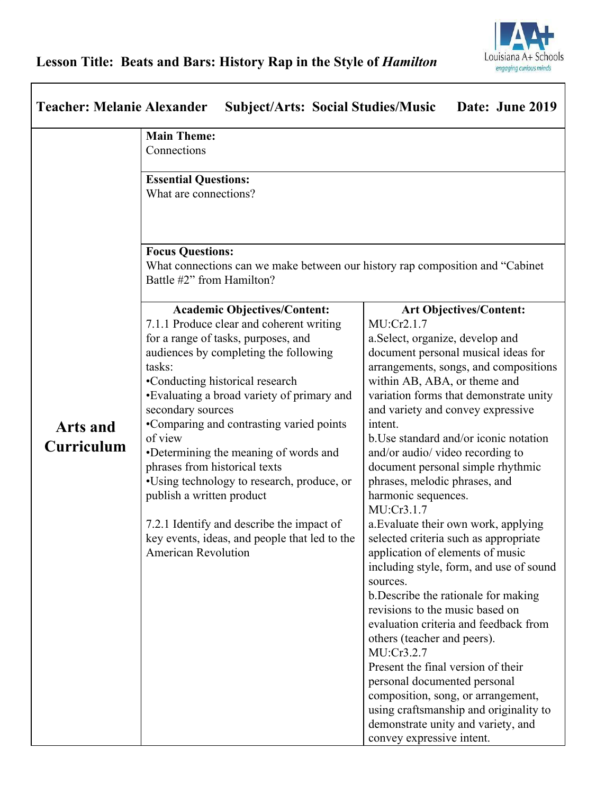## **Lesson Title: Beats and Bars: History Rap in the Style of** *Hamilton*

| <b>Teacher: Melanie Alexander</b><br><b>Subject/Arts: Social Studies/Music</b><br>Date: June 2019 |                                                                                                                                                                                                                                                                                                                                                                                                                                                                                                                                                                                                                         |                                                                                                                                                                                                                                                                                                                                                                                                                                                                                                                                                                                                                                                                                                                                                                                                                                                                                                                                                                                                                                                           |  |
|---------------------------------------------------------------------------------------------------|-------------------------------------------------------------------------------------------------------------------------------------------------------------------------------------------------------------------------------------------------------------------------------------------------------------------------------------------------------------------------------------------------------------------------------------------------------------------------------------------------------------------------------------------------------------------------------------------------------------------------|-----------------------------------------------------------------------------------------------------------------------------------------------------------------------------------------------------------------------------------------------------------------------------------------------------------------------------------------------------------------------------------------------------------------------------------------------------------------------------------------------------------------------------------------------------------------------------------------------------------------------------------------------------------------------------------------------------------------------------------------------------------------------------------------------------------------------------------------------------------------------------------------------------------------------------------------------------------------------------------------------------------------------------------------------------------|--|
|                                                                                                   | <b>Main Theme:</b>                                                                                                                                                                                                                                                                                                                                                                                                                                                                                                                                                                                                      |                                                                                                                                                                                                                                                                                                                                                                                                                                                                                                                                                                                                                                                                                                                                                                                                                                                                                                                                                                                                                                                           |  |
|                                                                                                   | Connections                                                                                                                                                                                                                                                                                                                                                                                                                                                                                                                                                                                                             |                                                                                                                                                                                                                                                                                                                                                                                                                                                                                                                                                                                                                                                                                                                                                                                                                                                                                                                                                                                                                                                           |  |
|                                                                                                   | <b>Essential Questions:</b><br>What are connections?                                                                                                                                                                                                                                                                                                                                                                                                                                                                                                                                                                    |                                                                                                                                                                                                                                                                                                                                                                                                                                                                                                                                                                                                                                                                                                                                                                                                                                                                                                                                                                                                                                                           |  |
|                                                                                                   | <b>Focus Questions:</b><br>What connections can we make between our history rap composition and "Cabinet"<br>Battle #2" from Hamilton?                                                                                                                                                                                                                                                                                                                                                                                                                                                                                  |                                                                                                                                                                                                                                                                                                                                                                                                                                                                                                                                                                                                                                                                                                                                                                                                                                                                                                                                                                                                                                                           |  |
| <b>Arts and</b><br><b>Curriculum</b>                                                              | <b>Academic Objectives/Content:</b><br>7.1.1 Produce clear and coherent writing<br>for a range of tasks, purposes, and<br>audiences by completing the following<br>tasks:<br>•Conducting historical research<br>•Evaluating a broad variety of primary and<br>secondary sources<br>•Comparing and contrasting varied points<br>of view<br>•Determining the meaning of words and<br>phrases from historical texts<br>•Using technology to research, produce, or<br>publish a written product<br>7.2.1 Identify and describe the impact of<br>key events, ideas, and people that led to the<br><b>American Revolution</b> | <b>Art Objectives/Content:</b><br>MU:Cr2.1.7<br>a. Select, organize, develop and<br>document personal musical ideas for<br>arrangements, songs, and compositions<br>within AB, ABA, or theme and<br>variation forms that demonstrate unity<br>and variety and convey expressive<br>intent.<br>b. Use standard and/or iconic notation<br>and/or audio/ video recording to<br>document personal simple rhythmic<br>phrases, melodic phrases, and<br>harmonic sequences.<br>MU:Cr3.1.7<br>a. Evaluate their own work, applying<br>selected criteria such as appropriate<br>application of elements of music<br>including style, form, and use of sound<br>sources.<br>b. Describe the rationale for making<br>revisions to the music based on<br>evaluation criteria and feedback from<br>others (teacher and peers).<br>MU:Cr3.2.7<br>Present the final version of their<br>personal documented personal<br>composition, song, or arrangement,<br>using craftsmanship and originality to<br>demonstrate unity and variety, and<br>convey expressive intent. |  |